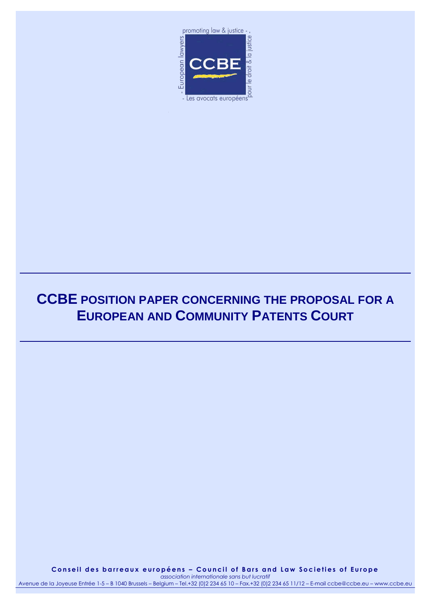

# **CCBE POSITION PAPER CONCERNING THE PROPOSAL FOR A EUROPEAN AND COMMUNITY PATENTS COURT**

**C o n s e i l d e s b a r r e a u x e u r o p é e n s – C o u n c i l o f B a r s a n d L a w S o c i e t i e s o f E u r o p e** *association internationale sans but lucratif*

Avenue de la Joyeuse Entrée 1-5 – B 1040 Brussels – Belgium – Tel.+32 (0)2 234 65 10 – Fax.+32 (0)2 234 65 11/12 – E-mail ccbe@ccbe.eu – www.ccbe.eu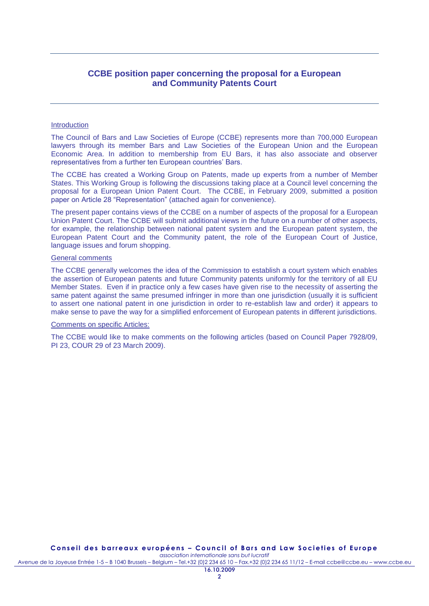## **CCBE position paper concerning the proposal for a European and Community Patents Court**

#### **Introduction**

The Council of Bars and Law Societies of Europe (CCBE) represents more than 700,000 European lawyers through its member Bars and Law Societies of the European Union and the European Economic Area. In addition to membership from EU Bars, it has also associate and observer representatives from a further ten European countries' Bars.

The CCBE has created a Working Group on Patents, made up experts from a number of Member States. This Working Group is following the discussions taking place at a Council level concerning the proposal for a European Union Patent Court. The CCBE, in February 2009, submitted a position paper on Article 28 "Representation" (attached again for convenience).

The present paper contains views of the CCBE on a number of aspects of the proposal for a European Union Patent Court. The CCBE will submit additional views in the future on a number of other aspects, for example, the relationship between national patent system and the European patent system, the European Patent Court and the Community patent, the role of the European Court of Justice, language issues and forum shopping.

#### General comments

The CCBE generally welcomes the idea of the Commission to establish a court system which enables the assertion of European patents and future Community patents uniformly for the territory of all EU Member States. Even if in practice only a few cases have given rise to the necessity of asserting the same patent against the same presumed infringer in more than one jurisdiction (usually it is sufficient to assert one national patent in one jurisdiction in order to re-establish law and order) it appears to make sense to pave the way for a simplified enforcement of European patents in different jurisdictions.

#### Comments on specific Articles:

The CCBE would like to make comments on the following articles (based on Council Paper 7928/09, PI 23, COUR 29 of 23 March 2009).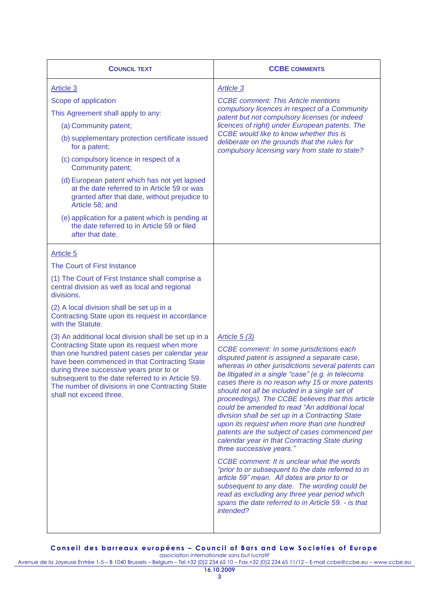| <b>COUNCIL TEXT</b>                                                                                                                                                                                                                                                                                                                                                                                                                                                                                                                                                                                                                                                              | <b>CCBE COMMENTS</b>                                                                                                                                                                                                                                                                                                                                                                                                                                                                                                                                                                                                                                                                                                                                                                                                                                                                                                                                                                      |
|----------------------------------------------------------------------------------------------------------------------------------------------------------------------------------------------------------------------------------------------------------------------------------------------------------------------------------------------------------------------------------------------------------------------------------------------------------------------------------------------------------------------------------------------------------------------------------------------------------------------------------------------------------------------------------|-------------------------------------------------------------------------------------------------------------------------------------------------------------------------------------------------------------------------------------------------------------------------------------------------------------------------------------------------------------------------------------------------------------------------------------------------------------------------------------------------------------------------------------------------------------------------------------------------------------------------------------------------------------------------------------------------------------------------------------------------------------------------------------------------------------------------------------------------------------------------------------------------------------------------------------------------------------------------------------------|
| Article 3<br>Scope of application<br>This Agreement shall apply to any:<br>(a) Community patent;<br>(b) supplementary protection certificate issued<br>for a patent;<br>(c) compulsory licence in respect of a<br>Community patent;<br>(d) European patent which has not yet lapsed<br>at the date referred to in Article 59 or was<br>granted after that date, without prejudice to<br>Article 58; and<br>(e) application for a patent which is pending at<br>the date referred to in Article 59 or filed<br>after that date.                                                                                                                                                   | <b>Article 3</b><br><b>CCBE</b> comment: This Article mentions<br>compulsory licences in respect of a Community<br>patent but not compulsory licenses (or indeed<br>licences of right) under European patents. The<br>CCBE would like to know whether this is<br>deliberate on the grounds that the rules for<br>compulsory licensing vary from state to state?                                                                                                                                                                                                                                                                                                                                                                                                                                                                                                                                                                                                                           |
| Article 5<br>The Court of First Instance<br>(1) The Court of First Instance shall comprise a<br>central division as well as local and regional<br>divisions.<br>(2) A local division shall be set up in a<br>Contracting State upon its request in accordance<br>with the Statute.<br>(3) An additional local division shall be set up in a<br>Contracting State upon its request when more<br>than one hundred patent cases per calendar year<br>have been commenced in that Contracting State<br>during three successive years prior to or<br>subsequent to the date referred to in Article 59.<br>The number of divisions in one Contracting State<br>shall not exceed three. | Article $5(3)$<br>CCBE comment: In some jurisdictions each<br>disputed patent is assigned a separate case,<br>whereas in other jurisdictions several patents can<br>be litigated in a single "case" (e.g. in telecoms<br>cases there is no reason why 15 or more patents<br>should not all be included in a single set of<br>proceedings). The CCBE believes that this article<br>could be amended to read "An additional local<br>division shall be set up in a Contracting State<br>upon its request when more than one hundred<br>patents are the subject of cases commenced per<br>calendar year in that Contracting State during<br>three successive years."<br>CCBE comment: It is unclear what the words<br>"prior to or subsequent to the date referred to in<br>article 59" mean. All dates are prior to or<br>subsequent to any date. The wording could be<br>read as excluding any three year period which<br>spans the date referred to in Article 59. - is that<br>intended? |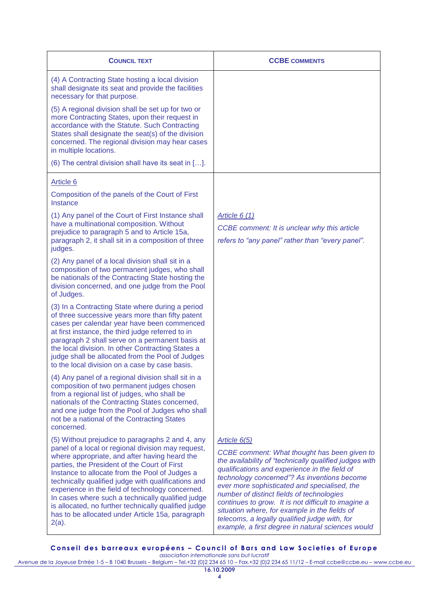| <b>COUNCIL TEXT</b>                                                                                                                                                                                                                                                                                                                                                                                                                                                                                                                               | <b>CCBE COMMENTS</b>                                                                                                                                                                                                                                                                                                                                                                                                                                                                                                              |
|---------------------------------------------------------------------------------------------------------------------------------------------------------------------------------------------------------------------------------------------------------------------------------------------------------------------------------------------------------------------------------------------------------------------------------------------------------------------------------------------------------------------------------------------------|-----------------------------------------------------------------------------------------------------------------------------------------------------------------------------------------------------------------------------------------------------------------------------------------------------------------------------------------------------------------------------------------------------------------------------------------------------------------------------------------------------------------------------------|
| (4) A Contracting State hosting a local division<br>shall designate its seat and provide the facilities<br>necessary for that purpose.                                                                                                                                                                                                                                                                                                                                                                                                            |                                                                                                                                                                                                                                                                                                                                                                                                                                                                                                                                   |
| (5) A regional division shall be set up for two or<br>more Contracting States, upon their request in<br>accordance with the Statute. Such Contracting<br>States shall designate the seat(s) of the division<br>concerned. The regional division may hear cases<br>in multiple locations.                                                                                                                                                                                                                                                          |                                                                                                                                                                                                                                                                                                                                                                                                                                                                                                                                   |
| (6) The central division shall have its seat in [].                                                                                                                                                                                                                                                                                                                                                                                                                                                                                               |                                                                                                                                                                                                                                                                                                                                                                                                                                                                                                                                   |
| Article 6<br>Composition of the panels of the Court of First<br>Instance                                                                                                                                                                                                                                                                                                                                                                                                                                                                          |                                                                                                                                                                                                                                                                                                                                                                                                                                                                                                                                   |
| (1) Any panel of the Court of First Instance shall<br>have a multinational composition. Without<br>prejudice to paragraph 5 and to Article 15a,<br>paragraph 2, it shall sit in a composition of three<br>judges.                                                                                                                                                                                                                                                                                                                                 | Article $6(1)$<br>CCBE comment: It is unclear why this article<br>refers to "any panel" rather than "every panel".                                                                                                                                                                                                                                                                                                                                                                                                                |
| (2) Any panel of a local division shall sit in a<br>composition of two permanent judges, who shall<br>be nationals of the Contracting State hosting the<br>division concerned, and one judge from the Pool<br>of Judges.                                                                                                                                                                                                                                                                                                                          |                                                                                                                                                                                                                                                                                                                                                                                                                                                                                                                                   |
| (3) In a Contracting State where during a period<br>of three successive years more than fifty patent<br>cases per calendar year have been commenced<br>at first instance, the third judge referred to in<br>paragraph 2 shall serve on a permanent basis at<br>the local division. In other Contracting States a<br>judge shall be allocated from the Pool of Judges<br>to the local division on a case by case basis.                                                                                                                            |                                                                                                                                                                                                                                                                                                                                                                                                                                                                                                                                   |
| (4) Any panel of a regional division shall sit in a<br>composition of two permanent judges chosen<br>from a regional list of judges, who shall be<br>nationals of the Contracting States concerned,<br>and one judge from the Pool of Judges who shall<br>not be a national of the Contracting States<br>concerned.                                                                                                                                                                                                                               |                                                                                                                                                                                                                                                                                                                                                                                                                                                                                                                                   |
| (5) Without prejudice to paragraphs 2 and 4, any<br>panel of a local or regional division may request,<br>where appropriate, and after having heard the<br>parties, the President of the Court of First<br>Instance to allocate from the Pool of Judges a<br>technically qualified judge with qualifications and<br>experience in the field of technology concerned.<br>In cases where such a technically qualified judge<br>is allocated, no further technically qualified judge<br>has to be allocated under Article 15a, paragraph<br>$2(a)$ . | Article 6(5)<br>CCBE comment: What thought has been given to<br>the availability of "technically qualified judges with<br>qualifications and experience in the field of<br>technology concerned"? As inventions become<br>ever more sophisticated and specialised, the<br>number of distinct fields of technologies<br>continues to grow. It is not difficult to imagine a<br>situation where, for example in the fields of<br>telecoms, a legally qualified judge with, for<br>example, a first degree in natural sciences would |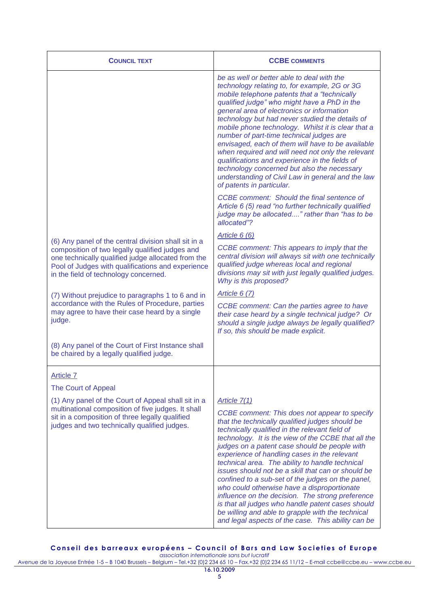| <b>COUNCIL TEXT</b>                                                                                                                                                                                          | <b>CCBE COMMENTS</b>                                                                                                                                                                                                                                                                                                                                                                                                                                                                                                                                                                                                                                                                                                                                        |
|--------------------------------------------------------------------------------------------------------------------------------------------------------------------------------------------------------------|-------------------------------------------------------------------------------------------------------------------------------------------------------------------------------------------------------------------------------------------------------------------------------------------------------------------------------------------------------------------------------------------------------------------------------------------------------------------------------------------------------------------------------------------------------------------------------------------------------------------------------------------------------------------------------------------------------------------------------------------------------------|
|                                                                                                                                                                                                              | be as well or better able to deal with the<br>technology relating to, for example, 2G or 3G<br>mobile telephone patents that a "technically"<br>qualified judge" who might have a PhD in the<br>general area of electronics or information<br>technology but had never studied the details of<br>mobile phone technology. Whilst it is clear that a<br>number of part-time technical judges are<br>envisaged, each of them will have to be available<br>when required and will need not only the relevant<br>qualifications and experience in the fields of<br>technology concerned but also the necessary<br>understanding of Civil Law in general and the law<br>of patents in particular.                                                                |
|                                                                                                                                                                                                              | CCBE comment: Should the final sentence of<br>Article 6 (5) read "no further technically qualified<br>judge may be allocated" rather than "has to be<br>allocated"?                                                                                                                                                                                                                                                                                                                                                                                                                                                                                                                                                                                         |
| (6) Any panel of the central division shall sit in a                                                                                                                                                         | Article 6 (6)                                                                                                                                                                                                                                                                                                                                                                                                                                                                                                                                                                                                                                                                                                                                               |
| composition of two legally qualified judges and<br>one technically qualified judge allocated from the<br>Pool of Judges with qualifications and experience<br>in the field of technology concerned.          | CCBE comment: This appears to imply that the<br>central division will always sit with one technically<br>qualified judge whereas local and regional<br>divisions may sit with just legally qualified judges.<br>Why is this proposed?                                                                                                                                                                                                                                                                                                                                                                                                                                                                                                                       |
| (7) Without prejudice to paragraphs 1 to 6 and in                                                                                                                                                            | <b>Article 6 (7)</b>                                                                                                                                                                                                                                                                                                                                                                                                                                                                                                                                                                                                                                                                                                                                        |
| accordance with the Rules of Procedure, parties<br>may agree to have their case heard by a single<br>judge.                                                                                                  | CCBE comment: Can the parties agree to have<br>their case heard by a single technical judge? Or<br>should a single judge always be legally qualified?<br>If so, this should be made explicit.                                                                                                                                                                                                                                                                                                                                                                                                                                                                                                                                                               |
| (8) Any panel of the Court of First Instance shall<br>be chaired by a legally qualified judge.                                                                                                               |                                                                                                                                                                                                                                                                                                                                                                                                                                                                                                                                                                                                                                                                                                                                                             |
| <b>Article 7</b>                                                                                                                                                                                             |                                                                                                                                                                                                                                                                                                                                                                                                                                                                                                                                                                                                                                                                                                                                                             |
| The Court of Appeal                                                                                                                                                                                          |                                                                                                                                                                                                                                                                                                                                                                                                                                                                                                                                                                                                                                                                                                                                                             |
| (1) Any panel of the Court of Appeal shall sit in a<br>multinational composition of five judges. It shall<br>sit in a composition of three legally qualified<br>judges and two technically qualified judges. | Article 7(1)<br>CCBE comment: This does not appear to specify<br>that the technically qualified judges should be<br>technically qualified in the relevant field of<br>technology. It is the view of the CCBE that all the<br>judges on a patent case should be people with<br>experience of handling cases in the relevant<br>technical area. The ability to handle technical<br>issues should not be a skill that can or should be<br>confined to a sub-set of the judges on the panel,<br>who could otherwise have a disproportionate<br>influence on the decision. The strong preference<br>is that all judges who handle patent cases should<br>be willing and able to grapple with the technical<br>and legal aspects of the case. This ability can be |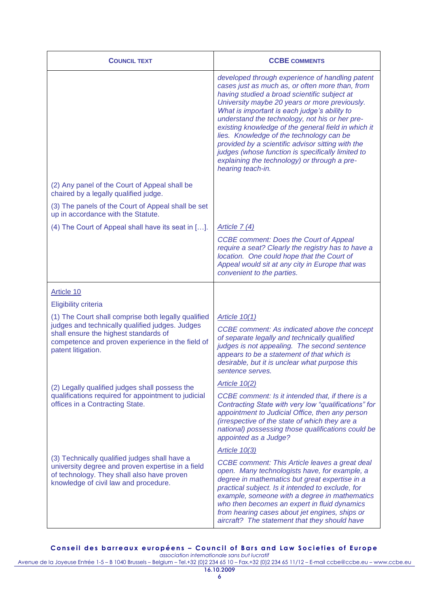| <b>COUNCIL TEXT</b>                                                                                                                                                                                                       | <b>CCBE COMMENTS</b>                                                                                                                                                                                                                                                                                                                                                                                                                                                                                                                                                                    |
|---------------------------------------------------------------------------------------------------------------------------------------------------------------------------------------------------------------------------|-----------------------------------------------------------------------------------------------------------------------------------------------------------------------------------------------------------------------------------------------------------------------------------------------------------------------------------------------------------------------------------------------------------------------------------------------------------------------------------------------------------------------------------------------------------------------------------------|
|                                                                                                                                                                                                                           | developed through experience of handling patent<br>cases just as much as, or often more than, from<br>having studied a broad scientific subject at<br>University maybe 20 years or more previously.<br>What is important is each judge's ability to<br>understand the technology, not his or her pre-<br>existing knowledge of the general field in which it<br>lies. Knowledge of the technology can be<br>provided by a scientific advisor sitting with the<br>judges (whose function is specifically limited to<br>explaining the technology) or through a pre-<br>hearing teach-in. |
| (2) Any panel of the Court of Appeal shall be<br>chaired by a legally qualified judge.                                                                                                                                    |                                                                                                                                                                                                                                                                                                                                                                                                                                                                                                                                                                                         |
| (3) The panels of the Court of Appeal shall be set<br>up in accordance with the Statute.                                                                                                                                  |                                                                                                                                                                                                                                                                                                                                                                                                                                                                                                                                                                                         |
| (4) The Court of Appeal shall have its seat in [].                                                                                                                                                                        | Article $7(4)$                                                                                                                                                                                                                                                                                                                                                                                                                                                                                                                                                                          |
|                                                                                                                                                                                                                           | <b>CCBE comment: Does the Court of Appeal</b><br>require a seat? Clearly the registry has to have a<br>location. One could hope that the Court of<br>Appeal would sit at any city in Europe that was<br>convenient to the parties.                                                                                                                                                                                                                                                                                                                                                      |
| Article 10                                                                                                                                                                                                                |                                                                                                                                                                                                                                                                                                                                                                                                                                                                                                                                                                                         |
| <b>Eligibility criteria</b>                                                                                                                                                                                               |                                                                                                                                                                                                                                                                                                                                                                                                                                                                                                                                                                                         |
| (1) The Court shall comprise both legally qualified<br>judges and technically qualified judges. Judges<br>shall ensure the highest standards of<br>competence and proven experience in the field of<br>patent litigation. | Article $10(1)$<br>CCBE comment: As indicated above the concept<br>of separate legally and technically qualified<br>judges is not appealing. The second sentence<br>appears to be a statement of that which is<br>desirable, but it is unclear what purpose this<br>sentence serves.                                                                                                                                                                                                                                                                                                    |
| (2) Legally qualified judges shall possess the                                                                                                                                                                            | Article $10(2)$                                                                                                                                                                                                                                                                                                                                                                                                                                                                                                                                                                         |
| qualifications required for appointment to judicial<br>offices in a Contracting State.                                                                                                                                    | CCBE comment: Is it intended that, if there is a<br>Contracting State with very low "qualifications" for<br>appointment to Judicial Office, then any person<br>(irrespective of the state of which they are a<br>national) possessing those qualifications could be<br>appointed as a Judge?                                                                                                                                                                                                                                                                                            |
|                                                                                                                                                                                                                           | Article $10(3)$                                                                                                                                                                                                                                                                                                                                                                                                                                                                                                                                                                         |
| (3) Technically qualified judges shall have a<br>university degree and proven expertise in a field<br>of technology. They shall also have proven<br>knowledge of civil law and procedure.                                 | <b>CCBE comment: This Article leaves a great deal</b><br>open. Many technologists have, for example, a<br>degree in mathematics but great expertise in a<br>practical subject. Is it intended to exclude, for<br>example, someone with a degree in mathematics<br>who then becomes an expert in fluid dynamics<br>from hearing cases about jet engines, ships or<br>aircraft? The statement that they should have                                                                                                                                                                       |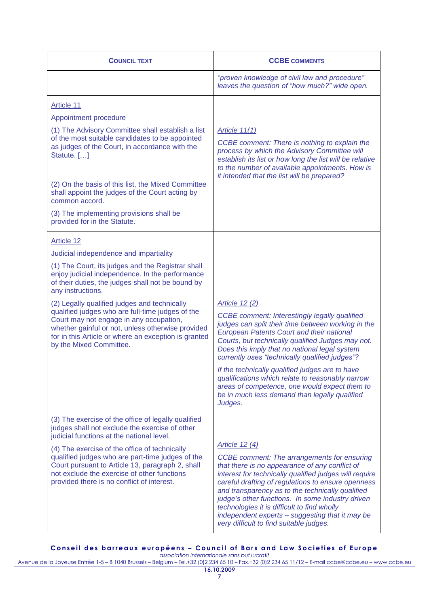| <b>COUNCIL TEXT</b>                                                                                                                                                                                                                                                                 | <b>CCBE COMMENTS</b>                                                                                                                                                                                                                                                                                                                                                                                                                                                                        |
|-------------------------------------------------------------------------------------------------------------------------------------------------------------------------------------------------------------------------------------------------------------------------------------|---------------------------------------------------------------------------------------------------------------------------------------------------------------------------------------------------------------------------------------------------------------------------------------------------------------------------------------------------------------------------------------------------------------------------------------------------------------------------------------------|
|                                                                                                                                                                                                                                                                                     | "proven knowledge of civil law and procedure"<br>leaves the question of "how much?" wide open.                                                                                                                                                                                                                                                                                                                                                                                              |
| <b>Article 11</b>                                                                                                                                                                                                                                                                   |                                                                                                                                                                                                                                                                                                                                                                                                                                                                                             |
| Appointment procedure                                                                                                                                                                                                                                                               |                                                                                                                                                                                                                                                                                                                                                                                                                                                                                             |
| (1) The Advisory Committee shall establish a list<br>of the most suitable candidates to be appointed<br>as judges of the Court, in accordance with the<br>Statute. []                                                                                                               | Article $11(1)$<br>CCBE comment: There is nothing to explain the<br>process by which the Advisory Committee will<br>establish its list or how long the list will be relative<br>to the number of available appointments. How is<br>it intended that the list will be prepared?                                                                                                                                                                                                              |
| (2) On the basis of this list, the Mixed Committee<br>shall appoint the judges of the Court acting by<br>common accord.                                                                                                                                                             |                                                                                                                                                                                                                                                                                                                                                                                                                                                                                             |
| (3) The implementing provisions shall be<br>provided for in the Statute.                                                                                                                                                                                                            |                                                                                                                                                                                                                                                                                                                                                                                                                                                                                             |
| <b>Article 12</b>                                                                                                                                                                                                                                                                   |                                                                                                                                                                                                                                                                                                                                                                                                                                                                                             |
| Judicial independence and impartiality                                                                                                                                                                                                                                              |                                                                                                                                                                                                                                                                                                                                                                                                                                                                                             |
| (1) The Court, its judges and the Registrar shall<br>enjoy judicial independence. In the performance<br>of their duties, the judges shall not be bound by<br>any instructions.                                                                                                      |                                                                                                                                                                                                                                                                                                                                                                                                                                                                                             |
| (2) Legally qualified judges and technically<br>qualified judges who are full-time judges of the<br>Court may not engage in any occupation,<br>whether gainful or not, unless otherwise provided<br>for in this Article or where an exception is granted<br>by the Mixed Committee. | Article 12 (2)<br><b>CCBE</b> comment: Interestingly legally qualified<br>judges can split their time between working in the<br><b>European Patents Court and their national</b><br>Courts, but technically qualified Judges may not.<br>Does this imply that no national legal system<br>currently uses "technically qualified judges"?                                                                                                                                                    |
|                                                                                                                                                                                                                                                                                     | If the technically qualified judges are to have<br>qualifications which relate to reasonably narrow<br>areas of competence, one would expect them to<br>be in much less demand than legally qualified<br>Judges.                                                                                                                                                                                                                                                                            |
| (3) The exercise of the office of legally qualified<br>judges shall not exclude the exercise of other<br>judicial functions at the national level.                                                                                                                                  |                                                                                                                                                                                                                                                                                                                                                                                                                                                                                             |
| (4) The exercise of the office of technically<br>qualified judges who are part-time judges of the<br>Court pursuant to Article 13, paragraph 2, shall<br>not exclude the exercise of other functions<br>provided there is no conflict of interest.                                  | Article 12 (4)<br><b>CCBE</b> comment: The arrangements for ensuring<br>that there is no appearance of any conflict of<br>interest for technically qualified judges will require<br>careful drafting of regulations to ensure openness<br>and transparency as to the technically qualified<br>judge's other functions. In some industry driven<br>technologies it is difficult to find wholly<br>independent experts - suggesting that it may be<br>very difficult to find suitable judges. |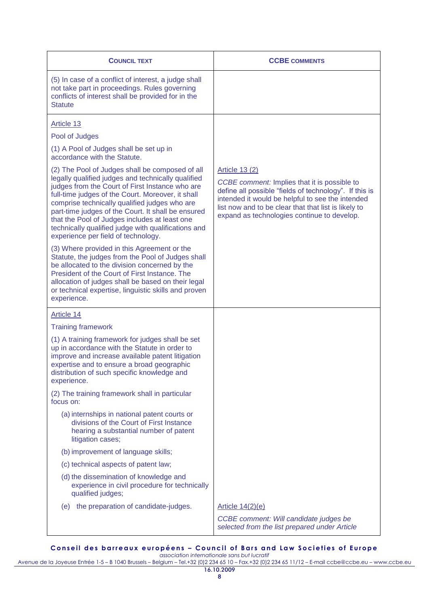| <b>COUNCIL TEXT</b>                                                                                                                                                                                                                                                                                                                                                                                                                                                 | <b>CCBE COMMENTS</b>                                                                                                                                                                                                                                                                       |
|---------------------------------------------------------------------------------------------------------------------------------------------------------------------------------------------------------------------------------------------------------------------------------------------------------------------------------------------------------------------------------------------------------------------------------------------------------------------|--------------------------------------------------------------------------------------------------------------------------------------------------------------------------------------------------------------------------------------------------------------------------------------------|
| (5) In case of a conflict of interest, a judge shall<br>not take part in proceedings. Rules governing<br>conflicts of interest shall be provided for in the<br><b>Statute</b>                                                                                                                                                                                                                                                                                       |                                                                                                                                                                                                                                                                                            |
| <b>Article 13</b>                                                                                                                                                                                                                                                                                                                                                                                                                                                   |                                                                                                                                                                                                                                                                                            |
| Pool of Judges                                                                                                                                                                                                                                                                                                                                                                                                                                                      |                                                                                                                                                                                                                                                                                            |
| (1) A Pool of Judges shall be set up in<br>accordance with the Statute.                                                                                                                                                                                                                                                                                                                                                                                             |                                                                                                                                                                                                                                                                                            |
| (2) The Pool of Judges shall be composed of all<br>legally qualified judges and technically qualified<br>judges from the Court of First Instance who are<br>full-time judges of the Court. Moreover, it shall<br>comprise technically qualified judges who are<br>part-time judges of the Court. It shall be ensured<br>that the Pool of Judges includes at least one<br>technically qualified judge with qualifications and<br>experience per field of technology. | <b>Article 13 (2)</b><br>CCBE comment: Implies that it is possible to<br>define all possible "fields of technology". If this is<br>intended it would be helpful to see the intended<br>list now and to be clear that that list is likely to<br>expand as technologies continue to develop. |
| (3) Where provided in this Agreement or the<br>Statute, the judges from the Pool of Judges shall<br>be allocated to the division concerned by the<br>President of the Court of First Instance. The<br>allocation of judges shall be based on their legal<br>or technical expertise, linguistic skills and proven<br>experience.                                                                                                                                     |                                                                                                                                                                                                                                                                                            |
| Article 14                                                                                                                                                                                                                                                                                                                                                                                                                                                          |                                                                                                                                                                                                                                                                                            |
| <b>Training framework</b>                                                                                                                                                                                                                                                                                                                                                                                                                                           |                                                                                                                                                                                                                                                                                            |
| (1) A training framework for judges shall be set<br>up in accordance with the Statute in order to<br>improve and increase available patent litigation<br>expertise and to ensure a broad geographic<br>distribution of such specific knowledge and<br>experience.                                                                                                                                                                                                   |                                                                                                                                                                                                                                                                                            |
| (2) The training framework shall in particular<br>focus on:                                                                                                                                                                                                                                                                                                                                                                                                         |                                                                                                                                                                                                                                                                                            |
| (a) internships in national patent courts or<br>divisions of the Court of First Instance<br>hearing a substantial number of patent<br>litigation cases;                                                                                                                                                                                                                                                                                                             |                                                                                                                                                                                                                                                                                            |
| (b) improvement of language skills;                                                                                                                                                                                                                                                                                                                                                                                                                                 |                                                                                                                                                                                                                                                                                            |
| (c) technical aspects of patent law;                                                                                                                                                                                                                                                                                                                                                                                                                                |                                                                                                                                                                                                                                                                                            |
| (d) the dissemination of knowledge and<br>experience in civil procedure for technically<br>qualified judges;                                                                                                                                                                                                                                                                                                                                                        |                                                                                                                                                                                                                                                                                            |
| the preparation of candidate-judges.<br>(e)                                                                                                                                                                                                                                                                                                                                                                                                                         | Article 14(2)(e)                                                                                                                                                                                                                                                                           |
|                                                                                                                                                                                                                                                                                                                                                                                                                                                                     | CCBE comment: Will candidate judges be<br>selected from the list prepared under Article                                                                                                                                                                                                    |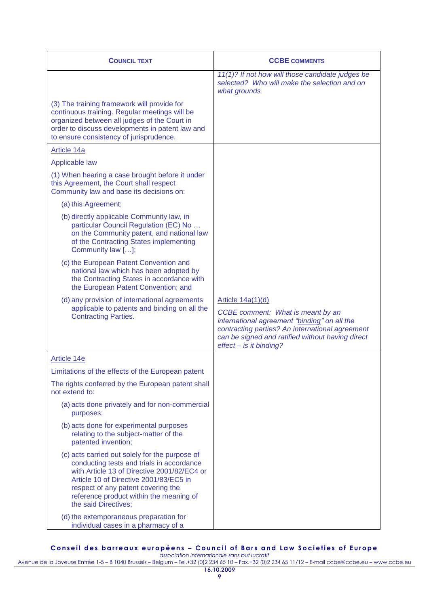| <b>COUNCIL TEXT</b>                                                                                                                                                                                                                                                                           | <b>CCBE COMMENTS</b>                                                                                                                                                                                                                     |
|-----------------------------------------------------------------------------------------------------------------------------------------------------------------------------------------------------------------------------------------------------------------------------------------------|------------------------------------------------------------------------------------------------------------------------------------------------------------------------------------------------------------------------------------------|
|                                                                                                                                                                                                                                                                                               | 11(1)? If not how will those candidate judges be<br>selected? Who will make the selection and on<br>what grounds                                                                                                                         |
| (3) The training framework will provide for<br>continuous training. Regular meetings will be<br>organized between all judges of the Court in<br>order to discuss developments in patent law and<br>to ensure consistency of jurisprudence.                                                    |                                                                                                                                                                                                                                          |
| Article 14a                                                                                                                                                                                                                                                                                   |                                                                                                                                                                                                                                          |
| Applicable law                                                                                                                                                                                                                                                                                |                                                                                                                                                                                                                                          |
| (1) When hearing a case brought before it under<br>this Agreement, the Court shall respect<br>Community law and base its decisions on:                                                                                                                                                        |                                                                                                                                                                                                                                          |
| (a) this Agreement;                                                                                                                                                                                                                                                                           |                                                                                                                                                                                                                                          |
| (b) directly applicable Community law, in<br>particular Council Regulation (EC) No<br>on the Community patent, and national law<br>of the Contracting States implementing<br>Community law [];                                                                                                |                                                                                                                                                                                                                                          |
| (c) the European Patent Convention and<br>national law which has been adopted by<br>the Contracting States in accordance with<br>the European Patent Convention; and                                                                                                                          |                                                                                                                                                                                                                                          |
| (d) any provision of international agreements<br>applicable to patents and binding on all the<br><b>Contracting Parties.</b>                                                                                                                                                                  | Article 14a(1)(d)<br>CCBE comment: What is meant by an<br>international agreement "binding" on all the<br>contracting parties? An international agreement<br>can be signed and ratified without having direct<br>effect - is it binding? |
| Article 14e                                                                                                                                                                                                                                                                                   |                                                                                                                                                                                                                                          |
| Limitations of the effects of the European patent                                                                                                                                                                                                                                             |                                                                                                                                                                                                                                          |
| The rights conferred by the European patent shall<br>not extend to:                                                                                                                                                                                                                           |                                                                                                                                                                                                                                          |
| (a) acts done privately and for non-commercial<br>purposes;                                                                                                                                                                                                                                   |                                                                                                                                                                                                                                          |
| (b) acts done for experimental purposes<br>relating to the subject-matter of the<br>patented invention;                                                                                                                                                                                       |                                                                                                                                                                                                                                          |
| (c) acts carried out solely for the purpose of<br>conducting tests and trials in accordance<br>with Article 13 of Directive 2001/82/EC4 or<br>Article 10 of Directive 2001/83/EC5 in<br>respect of any patent covering the<br>reference product within the meaning of<br>the said Directives; |                                                                                                                                                                                                                                          |
| (d) the extemporaneous preparation for<br>individual cases in a pharmacy of a                                                                                                                                                                                                                 |                                                                                                                                                                                                                                          |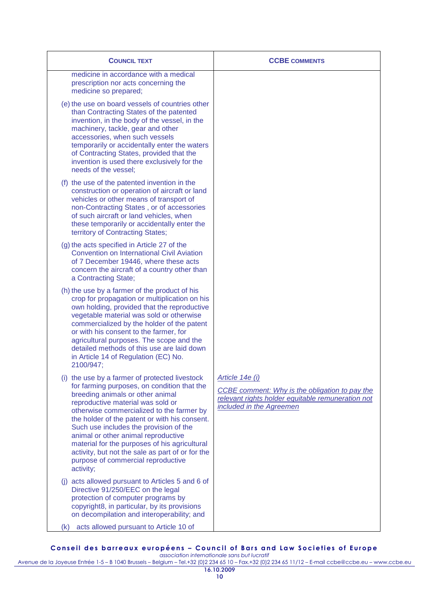| <b>COUNCIL TEXT</b>                                                                                                                                                                                                                                                                                                                                                                                                                                                                                           | <b>CCBE COMMENTS</b>                                                                                                                               |
|---------------------------------------------------------------------------------------------------------------------------------------------------------------------------------------------------------------------------------------------------------------------------------------------------------------------------------------------------------------------------------------------------------------------------------------------------------------------------------------------------------------|----------------------------------------------------------------------------------------------------------------------------------------------------|
| medicine in accordance with a medical<br>prescription nor acts concerning the<br>medicine so prepared;                                                                                                                                                                                                                                                                                                                                                                                                        |                                                                                                                                                    |
| (e) the use on board vessels of countries other<br>than Contracting States of the patented<br>invention, in the body of the vessel, in the<br>machinery, tackle, gear and other<br>accessories, when such vessels<br>temporarily or accidentally enter the waters<br>of Contracting States, provided that the<br>invention is used there exclusively for the<br>needs of the vessel;                                                                                                                          |                                                                                                                                                    |
| (f) the use of the patented invention in the<br>construction or operation of aircraft or land<br>vehicles or other means of transport of<br>non-Contracting States, or of accessories<br>of such aircraft or land vehicles, when<br>these temporarily or accidentally enter the<br>territory of Contracting States;                                                                                                                                                                                           |                                                                                                                                                    |
| (g) the acts specified in Article 27 of the<br><b>Convention on International Civil Aviation</b><br>of 7 December 19446, where these acts<br>concern the aircraft of a country other than<br>a Contracting State;                                                                                                                                                                                                                                                                                             |                                                                                                                                                    |
| (h) the use by a farmer of the product of his<br>crop for propagation or multiplication on his<br>own holding, provided that the reproductive<br>vegetable material was sold or otherwise<br>commercialized by the holder of the patent<br>or with his consent to the farmer, for<br>agricultural purposes. The scope and the<br>detailed methods of this use are laid down<br>in Article 14 of Regulation (EC) No.<br>2100/947;                                                                              |                                                                                                                                                    |
| (i) the use by a farmer of protected livestock<br>for farming purposes, on condition that the<br>breeding animals or other animal<br>reproductive material was sold or<br>otherwise commercialized to the farmer by<br>the holder of the patent or with his consent.<br>Such use includes the provision of the<br>animal or other animal reproductive<br>material for the purposes of his agricultural<br>activity, but not the sale as part of or for the<br>purpose of commercial reproductive<br>activity; | Article 14e (i)<br>CCBE comment: Why is the obligation to pay the<br>relevant rights holder equitable remuneration not<br>included in the Agreemen |
| (j) acts allowed pursuant to Articles 5 and 6 of<br>Directive 91/250/EEC on the legal<br>protection of computer programs by<br>copyright8, in particular, by its provisions<br>on decompilation and interoperability; and                                                                                                                                                                                                                                                                                     |                                                                                                                                                    |
| acts allowed pursuant to Article 10 of<br>(K)                                                                                                                                                                                                                                                                                                                                                                                                                                                                 |                                                                                                                                                    |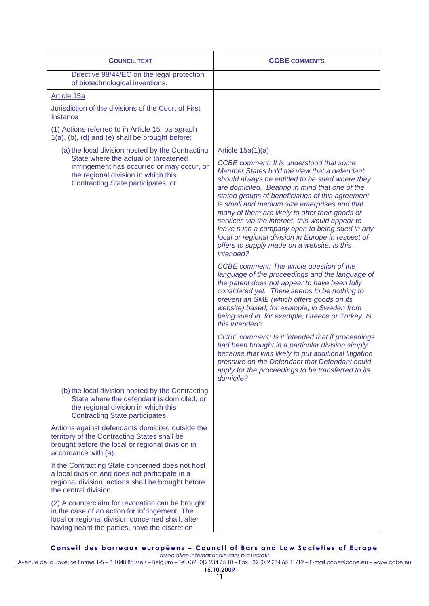| <b>COUNCIL TEXT</b>                                                                                                                                                                                                 | <b>CCBE COMMENTS</b>                                                                                                                                                                                                                                                                                                                                                                                                                                                                                                                                                                                                                                                                                                                                                                                                                                                                                                                                                                                                                                                                                                                                                                   |
|---------------------------------------------------------------------------------------------------------------------------------------------------------------------------------------------------------------------|----------------------------------------------------------------------------------------------------------------------------------------------------------------------------------------------------------------------------------------------------------------------------------------------------------------------------------------------------------------------------------------------------------------------------------------------------------------------------------------------------------------------------------------------------------------------------------------------------------------------------------------------------------------------------------------------------------------------------------------------------------------------------------------------------------------------------------------------------------------------------------------------------------------------------------------------------------------------------------------------------------------------------------------------------------------------------------------------------------------------------------------------------------------------------------------|
| Directive 98/44/EC on the legal protection<br>of biotechnological inventions.                                                                                                                                       |                                                                                                                                                                                                                                                                                                                                                                                                                                                                                                                                                                                                                                                                                                                                                                                                                                                                                                                                                                                                                                                                                                                                                                                        |
| Article 15a                                                                                                                                                                                                         |                                                                                                                                                                                                                                                                                                                                                                                                                                                                                                                                                                                                                                                                                                                                                                                                                                                                                                                                                                                                                                                                                                                                                                                        |
| Jurisdiction of the divisions of the Court of First<br>Instance                                                                                                                                                     |                                                                                                                                                                                                                                                                                                                                                                                                                                                                                                                                                                                                                                                                                                                                                                                                                                                                                                                                                                                                                                                                                                                                                                                        |
| (1) Actions referred to in Article 15, paragraph<br>1(a), (b), (d) and (e) shall be brought before:                                                                                                                 |                                                                                                                                                                                                                                                                                                                                                                                                                                                                                                                                                                                                                                                                                                                                                                                                                                                                                                                                                                                                                                                                                                                                                                                        |
| (a) the local division hosted by the Contracting<br>State where the actual or threatened<br>infringement has occurred or may occur, or<br>the regional division in which this<br>Contracting State participates; or | Article $15a(1)(a)$<br>CCBE comment: It is understood that some<br>Member States hold the view that a defendant<br>should always be entitled to be sued where they<br>are domiciled. Bearing in mind that one of the<br>stated groups of beneficiaries of this agreement<br>is small and medium size enterprises and that<br>many of them are likely to offer their goods or<br>services via the internet, this would appear to<br>leave such a company open to being sued in any<br>local or regional division in Europe in respect of<br>offers to supply made on a website. Is this<br>intended?<br>CCBE comment: The whole question of the<br>language of the proceedings and the language of<br>the patent does not appear to have been fully<br>considered yet. There seems to be nothing to<br>prevent an SME (which offers goods on its<br>website) based, for example, in Sweden from<br>being sued in, for example, Greece or Turkey. Is<br>this intended?<br>CCBE comment: Is it intended that if proceedings<br>had been brought in a particular division simply<br>because that was likely to put additional litigation<br>pressure on the Defendant that Defendant could |
|                                                                                                                                                                                                                     | apply for the proceedings to be transferred to its<br>domicile?                                                                                                                                                                                                                                                                                                                                                                                                                                                                                                                                                                                                                                                                                                                                                                                                                                                                                                                                                                                                                                                                                                                        |
| (b) the local division hosted by the Contracting<br>State where the defendant is domiciled, or<br>the regional division in which this<br>Contracting State participates.                                            |                                                                                                                                                                                                                                                                                                                                                                                                                                                                                                                                                                                                                                                                                                                                                                                                                                                                                                                                                                                                                                                                                                                                                                                        |
| Actions against defendants domiciled outside the<br>territory of the Contracting States shall be<br>brought before the local or regional division in<br>accordance with (a).                                        |                                                                                                                                                                                                                                                                                                                                                                                                                                                                                                                                                                                                                                                                                                                                                                                                                                                                                                                                                                                                                                                                                                                                                                                        |
| If the Contracting State concerned does not host<br>a local division and does not participate in a<br>regional division, actions shall be brought before<br>the central division.                                   |                                                                                                                                                                                                                                                                                                                                                                                                                                                                                                                                                                                                                                                                                                                                                                                                                                                                                                                                                                                                                                                                                                                                                                                        |
| (2) A counterclaim for revocation can be brought<br>in the case of an action for infringement. The<br>local or regional division concerned shall, after<br>having heard the parties, have the discretion            |                                                                                                                                                                                                                                                                                                                                                                                                                                                                                                                                                                                                                                                                                                                                                                                                                                                                                                                                                                                                                                                                                                                                                                                        |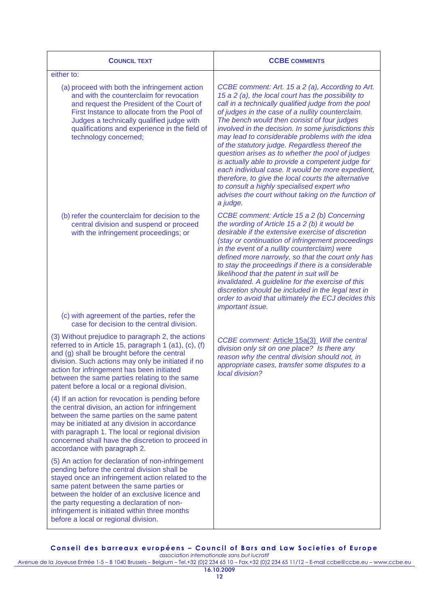| <b>COUNCIL TEXT</b>                                                                                                                                                                                                                                                                                                                                                                        | <b>CCBE COMMENTS</b>                                                                                                                                                                                                                                                                                                                                                                                                                                                                                                                                                                                                                                                                                                                                                |
|--------------------------------------------------------------------------------------------------------------------------------------------------------------------------------------------------------------------------------------------------------------------------------------------------------------------------------------------------------------------------------------------|---------------------------------------------------------------------------------------------------------------------------------------------------------------------------------------------------------------------------------------------------------------------------------------------------------------------------------------------------------------------------------------------------------------------------------------------------------------------------------------------------------------------------------------------------------------------------------------------------------------------------------------------------------------------------------------------------------------------------------------------------------------------|
| either to:                                                                                                                                                                                                                                                                                                                                                                                 |                                                                                                                                                                                                                                                                                                                                                                                                                                                                                                                                                                                                                                                                                                                                                                     |
| (a) proceed with both the infringement action<br>and with the counterclaim for revocation<br>and request the President of the Court of<br>First Instance to allocate from the Pool of<br>Judges a technically qualified judge with<br>qualifications and experience in the field of<br>technology concerned;                                                                               | CCBE comment: Art. 15 a 2 (a), According to Art.<br>15 a 2 (a), the local court has the possibility to<br>call in a technically qualified judge from the pool<br>of judges in the case of a nullity counterclaim.<br>The bench would then consist of four judges<br>involved in the decision. In some jurisdictions this<br>may lead to considerable problems with the idea<br>of the statutory judge. Regardless thereof the<br>question arises as to whether the pool of judges<br>is actually able to provide a competent judge for<br>each individual case. It would be more expedient,<br>therefore, to give the local courts the alternative<br>to consult a highly specialised expert who<br>advises the court without taking on the function of<br>a judge. |
| (b) refer the counterclaim for decision to the<br>central division and suspend or proceed<br>with the infringement proceedings; or<br>(c) with agreement of the parties, refer the                                                                                                                                                                                                         | CCBE comment: Article 15 a 2 (b) Concerning<br>the wording of Article 15 a 2 (b) it would be<br>desirable if the extensive exercise of discretion<br>(stay or continuation of infringement proceedings<br>in the event of a nullity counterclaim) were<br>defined more narrowly, so that the court only has<br>to stay the proceedings if there is a considerable<br>likelihood that the patent in suit will be<br>invalidated. A guideline for the exercise of this<br>discretion should be included in the legal text in<br>order to avoid that ultimately the ECJ decides this<br>important issue.                                                                                                                                                               |
| case for decision to the central division.                                                                                                                                                                                                                                                                                                                                                 |                                                                                                                                                                                                                                                                                                                                                                                                                                                                                                                                                                                                                                                                                                                                                                     |
| (3) Without prejudice to paragraph 2, the actions<br>referred to in Article 15, paragraph 1 (a1), (c), (f)<br>and (g) shall be brought before the central<br>division. Such actions may only be initiated if no<br>action for infringement has been initiated<br>between the same parties relating to the same<br>patent before a local or a regional division.                            | CCBE comment: Article 15a(3) Will the central<br>division only sit on one place? Is there any<br>reason why the central division should not, in<br>appropriate cases, transfer some disputes to a<br>local division?                                                                                                                                                                                                                                                                                                                                                                                                                                                                                                                                                |
| (4) If an action for revocation is pending before<br>the central division, an action for infringement<br>between the same parties on the same patent<br>may be initiated at any division in accordance<br>with paragraph 1. The local or regional division<br>concerned shall have the discretion to proceed in<br>accordance with paragraph 2.                                            |                                                                                                                                                                                                                                                                                                                                                                                                                                                                                                                                                                                                                                                                                                                                                                     |
| (5) An action for declaration of non-infringement<br>pending before the central division shall be<br>stayed once an infringement action related to the<br>same patent between the same parties or<br>between the holder of an exclusive licence and<br>the party requesting a declaration of non-<br>infringement is initiated within three months<br>before a local or regional division. |                                                                                                                                                                                                                                                                                                                                                                                                                                                                                                                                                                                                                                                                                                                                                                     |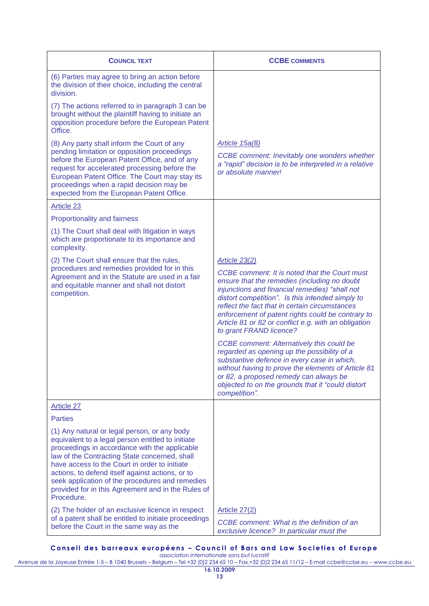| <b>COUNCIL TEXT</b>                                                                                                                                                                                                                                                                                                                                                                                                             | <b>CCBE COMMENTS</b>                                                                                                                                                                                                                                                                                                                                                                                                                                                                                                                                                                                                                                                                                                                          |
|---------------------------------------------------------------------------------------------------------------------------------------------------------------------------------------------------------------------------------------------------------------------------------------------------------------------------------------------------------------------------------------------------------------------------------|-----------------------------------------------------------------------------------------------------------------------------------------------------------------------------------------------------------------------------------------------------------------------------------------------------------------------------------------------------------------------------------------------------------------------------------------------------------------------------------------------------------------------------------------------------------------------------------------------------------------------------------------------------------------------------------------------------------------------------------------------|
| (6) Parties may agree to bring an action before<br>the division of their choice, including the central<br>division.                                                                                                                                                                                                                                                                                                             |                                                                                                                                                                                                                                                                                                                                                                                                                                                                                                                                                                                                                                                                                                                                               |
| (7) The actions referred to in paragraph 3 can be<br>brought without the plaintiff having to initiate an<br>opposition procedure before the European Patent<br>Office.                                                                                                                                                                                                                                                          |                                                                                                                                                                                                                                                                                                                                                                                                                                                                                                                                                                                                                                                                                                                                               |
| (8) Any party shall inform the Court of any<br>pending limitation or opposition proceedings<br>before the European Patent Office, and of any<br>request for accelerated processing before the<br>European Patent Office. The Court may stay its<br>proceedings when a rapid decision may be<br>expected from the European Patent Office.                                                                                        | Article 15a(8)<br>CCBE comment: Inevitably one wonders whether<br>a "rapid" decision is to be interpreted in a relative<br>or absolute manner!                                                                                                                                                                                                                                                                                                                                                                                                                                                                                                                                                                                                |
| Article 23                                                                                                                                                                                                                                                                                                                                                                                                                      |                                                                                                                                                                                                                                                                                                                                                                                                                                                                                                                                                                                                                                                                                                                                               |
| Proportionality and fairness                                                                                                                                                                                                                                                                                                                                                                                                    |                                                                                                                                                                                                                                                                                                                                                                                                                                                                                                                                                                                                                                                                                                                                               |
| (1) The Court shall deal with litigation in ways<br>which are proportionate to its importance and<br>complexity.                                                                                                                                                                                                                                                                                                                |                                                                                                                                                                                                                                                                                                                                                                                                                                                                                                                                                                                                                                                                                                                                               |
| (2) The Court shall ensure that the rules,<br>procedures and remedies provided for in this<br>Agreement and in the Statute are used in a fair<br>and equitable manner and shall not distort<br>competition.                                                                                                                                                                                                                     | Article 23(2)<br><b>CCBE</b> comment: It is noted that the Court must<br>ensure that the remedies (including no doubt<br>injunctions and financial remedies) "shall not<br>distort competition". Is this intended simply to<br>reflect the fact that in certain circumstances<br>enforcement of patent rights could be contrary to<br>Article 81 or 82 or conflict e.g. with an obligation<br>to grant FRAND licence?<br><b>CCBE</b> comment: Alternatively this could be<br>regarded as opening up the possibility of a<br>substantive defence in every case in which,<br>without having to prove the elements of Article 81<br>or 82, a proposed remedy can always be<br>objected to on the grounds that it "could distort<br>competition". |
| <b>Article 27</b>                                                                                                                                                                                                                                                                                                                                                                                                               |                                                                                                                                                                                                                                                                                                                                                                                                                                                                                                                                                                                                                                                                                                                                               |
| <b>Parties</b>                                                                                                                                                                                                                                                                                                                                                                                                                  |                                                                                                                                                                                                                                                                                                                                                                                                                                                                                                                                                                                                                                                                                                                                               |
| (1) Any natural or legal person, or any body<br>equivalent to a legal person entitled to initiate<br>proceedings in accordance with the applicable<br>law of the Contracting State concerned, shall<br>have access to the Court in order to initiate<br>actions, to defend itself against actions, or to<br>seek application of the procedures and remedies<br>provided for in this Agreement and in the Rules of<br>Procedure. |                                                                                                                                                                                                                                                                                                                                                                                                                                                                                                                                                                                                                                                                                                                                               |
| (2) The holder of an exclusive licence in respect<br>of a patent shall be entitled to initiate proceedings<br>before the Court in the same way as the                                                                                                                                                                                                                                                                           | Article 27(2)<br>CCBE comment: What is the definition of an<br>exclusive licence? In particular must the                                                                                                                                                                                                                                                                                                                                                                                                                                                                                                                                                                                                                                      |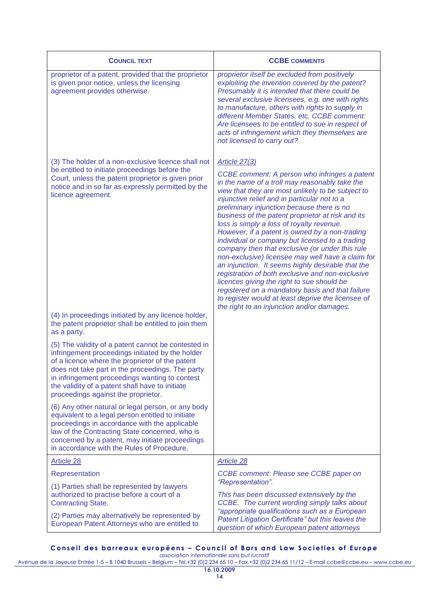| <b>COUNCIL TEXT</b>                                                                                                                                                                                                                                                                                                                                        | <b>CCBE COMMENTS</b>                                                                                                                                                                                                                                                                                                                                                                                                                                                                                                                                                                                                                                                                                                                                                                                                                                                                                     |
|------------------------------------------------------------------------------------------------------------------------------------------------------------------------------------------------------------------------------------------------------------------------------------------------------------------------------------------------------------|----------------------------------------------------------------------------------------------------------------------------------------------------------------------------------------------------------------------------------------------------------------------------------------------------------------------------------------------------------------------------------------------------------------------------------------------------------------------------------------------------------------------------------------------------------------------------------------------------------------------------------------------------------------------------------------------------------------------------------------------------------------------------------------------------------------------------------------------------------------------------------------------------------|
| proprietor of a patent, provided that the proprietor<br>is given prior notice, unless the licensing<br>agreement provides otherwise.                                                                                                                                                                                                                       | proprietor itself be excluded from positively<br>exploiting the invention covered by the patent?<br>Presumably it is intended that there could be<br>several exclusive licensees, e.g. one with rights<br>to manufacture, others with rights to supply in<br>different Member States, etc. CCBE comment:<br>Are licensees to be entitled to sue in respect of<br>acts of infringement which they themselves are<br>not licensed to carry out?                                                                                                                                                                                                                                                                                                                                                                                                                                                            |
| (3) The holder of a non-exclusive licence shall not<br>be entitled to initiate proceedings before the<br>Court, unless the patent proprietor is given prior<br>notice and in so far as expressly permitted by the<br>licence agreement.                                                                                                                    | <b>Article 27(3)</b><br>CCBE comment: A person who infringes a patent<br>in the name of a troll may reasonably take the<br>view that they are most unlikely to be subject to<br>injunctive relief and in particular not to a<br>preliminary injunction because there is no<br>business of the patent proprietor at risk and its<br>loss is simply a loss of royalty revenue.<br>However, if a patent is owned by a non-trading<br>individual or company but licensed to a trading<br>company then that exclusive (or under this rule<br>non-exclusive) licensee may well have a claim for<br>an injunction. It seems highly desirable that the<br>registration of both exclusive and non-exclusive<br>licences giving the right to sue should be<br>registered on a mandatory basis and that failure<br>to register would at least deprive the licensee of<br>the right to an injunction and/or damages. |
| (4) In proceedings initiated by any licence holder,<br>the patent proprietor shall be entitled to join them<br>as a party.                                                                                                                                                                                                                                 |                                                                                                                                                                                                                                                                                                                                                                                                                                                                                                                                                                                                                                                                                                                                                                                                                                                                                                          |
| (5) The validity of a patent cannot be contested in<br>infringement proceedings initiated by the holder<br>of a licence where the proprietor of the patent<br>does not take part in the proceedings. The party<br>in infringement proceedings wanting to contest<br>the validity of a patent shall have to initiate<br>proceedings against the proprietor. |                                                                                                                                                                                                                                                                                                                                                                                                                                                                                                                                                                                                                                                                                                                                                                                                                                                                                                          |
| (6) Any other natural or legal person, or any body<br>equivalent to a legal person entitled to initiate<br>proceedings in accordance with the applicable<br>law of the Contracting State concerned, who is<br>concerned by a patent, may initiate proceedings<br>in accordance with the Rules of Procedure.                                                |                                                                                                                                                                                                                                                                                                                                                                                                                                                                                                                                                                                                                                                                                                                                                                                                                                                                                                          |
| Article 28                                                                                                                                                                                                                                                                                                                                                 | Article 28                                                                                                                                                                                                                                                                                                                                                                                                                                                                                                                                                                                                                                                                                                                                                                                                                                                                                               |
| Representation                                                                                                                                                                                                                                                                                                                                             | CCBE comment: Please see CCBE paper on                                                                                                                                                                                                                                                                                                                                                                                                                                                                                                                                                                                                                                                                                                                                                                                                                                                                   |
| (1) Parties shall be represented by lawyers<br>authorized to practise before a court of a<br><b>Contracting State.</b>                                                                                                                                                                                                                                     | "Representation".<br>This has been discussed extensively by the<br>CCBE. The current wording simply talks about<br>"appropriate qualifications such as a European                                                                                                                                                                                                                                                                                                                                                                                                                                                                                                                                                                                                                                                                                                                                        |
| (2) Parties may alternatively be represented by<br>European Patent Attorneys who are entitled to                                                                                                                                                                                                                                                           | Patent Litigation Certificate" but this leaves the<br>question of which European patent attorneys                                                                                                                                                                                                                                                                                                                                                                                                                                                                                                                                                                                                                                                                                                                                                                                                        |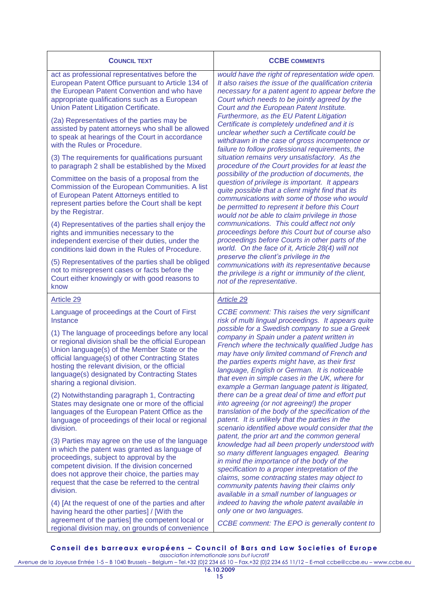| <b>COUNCIL TEXT</b>                                                                                                                                                                                                                                                                                                                                                                                        | <b>CCBE COMMENTS</b>                                                                                                                                                                                                                                                                                                                                                                                                                                                                                                                                                                                                                                                                                                                                                                                                                                                                                                                                                                                                                                                                                                                                                                                                                                                                                                      |
|------------------------------------------------------------------------------------------------------------------------------------------------------------------------------------------------------------------------------------------------------------------------------------------------------------------------------------------------------------------------------------------------------------|---------------------------------------------------------------------------------------------------------------------------------------------------------------------------------------------------------------------------------------------------------------------------------------------------------------------------------------------------------------------------------------------------------------------------------------------------------------------------------------------------------------------------------------------------------------------------------------------------------------------------------------------------------------------------------------------------------------------------------------------------------------------------------------------------------------------------------------------------------------------------------------------------------------------------------------------------------------------------------------------------------------------------------------------------------------------------------------------------------------------------------------------------------------------------------------------------------------------------------------------------------------------------------------------------------------------------|
| act as professional representatives before the<br>European Patent Office pursuant to Article 134 of<br>the European Patent Convention and who have<br>appropriate qualifications such as a European<br>Union Patent Litigation Certificate.                                                                                                                                                                | would have the right of representation wide open.<br>It also raises the issue of the qualification criteria<br>necessary for a patent agent to appear before the<br>Court which needs to be jointly agreed by the<br>Court and the European Patent Institute.<br>Furthermore, as the EU Patent Litigation<br>Certificate is completely undefined and it is<br>unclear whether such a Certificate could be<br>withdrawn in the case of gross incompetence or<br>failure to follow professional requirements, the<br>situation remains very unsatisfactory. As the<br>procedure of the Court provides for at least the<br>possibility of the production of documents, the<br>question of privilege is important. It appears<br>quite possible that a client might find that its<br>communications with some of those who would<br>be permitted to represent it before this Court<br>would not be able to claim privilege in those<br>communications. This could affect not only<br>proceedings before this Court but of course also<br>proceedings before Courts in other parts of the<br>world. On the face of it, Article 28(4) will not<br>preserve the client's privilege in the<br>communications with its representative because<br>the privilege is a right or immunity of the client,<br>not of the representative. |
| (2a) Representatives of the parties may be<br>assisted by patent attorneys who shall be allowed<br>to speak at hearings of the Court in accordance<br>with the Rules or Procedure.                                                                                                                                                                                                                         |                                                                                                                                                                                                                                                                                                                                                                                                                                                                                                                                                                                                                                                                                                                                                                                                                                                                                                                                                                                                                                                                                                                                                                                                                                                                                                                           |
| (3) The requirements for qualifications pursuant<br>to paragraph 2 shall be established by the Mixed                                                                                                                                                                                                                                                                                                       |                                                                                                                                                                                                                                                                                                                                                                                                                                                                                                                                                                                                                                                                                                                                                                                                                                                                                                                                                                                                                                                                                                                                                                                                                                                                                                                           |
| Committee on the basis of a proposal from the<br>Commission of the European Communities. A list<br>of European Patent Attorneys entitled to<br>represent parties before the Court shall be kept<br>by the Registrar.                                                                                                                                                                                       |                                                                                                                                                                                                                                                                                                                                                                                                                                                                                                                                                                                                                                                                                                                                                                                                                                                                                                                                                                                                                                                                                                                                                                                                                                                                                                                           |
| (4) Representatives of the parties shall enjoy the<br>rights and immunities necessary to the<br>independent exercise of their duties, under the<br>conditions laid down in the Rules of Procedure.                                                                                                                                                                                                         |                                                                                                                                                                                                                                                                                                                                                                                                                                                                                                                                                                                                                                                                                                                                                                                                                                                                                                                                                                                                                                                                                                                                                                                                                                                                                                                           |
| (5) Representatives of the parties shall be obliged<br>not to misrepresent cases or facts before the<br>Court either knowingly or with good reasons to<br>know                                                                                                                                                                                                                                             |                                                                                                                                                                                                                                                                                                                                                                                                                                                                                                                                                                                                                                                                                                                                                                                                                                                                                                                                                                                                                                                                                                                                                                                                                                                                                                                           |
| <b>Article 29</b>                                                                                                                                                                                                                                                                                                                                                                                          | Article 29                                                                                                                                                                                                                                                                                                                                                                                                                                                                                                                                                                                                                                                                                                                                                                                                                                                                                                                                                                                                                                                                                                                                                                                                                                                                                                                |
| Language of proceedings at the Court of First<br>Instance<br>(1) The language of proceedings before any local<br>or regional division shall be the official European<br>Union language(s) of the Member State or the<br>official language(s) of other Contracting States<br>hosting the relevant division, or the official<br>language(s) designated by Contracting States<br>sharing a regional division. | <b>CCBE</b> comment: This raises the very significant<br>risk of multi lingual proceedings. It appears quite<br>possible for a Swedish company to sue a Greek<br>company in Spain under a patent written in<br>French where the technically qualified Judge has<br>may have only limited command of French and<br>the parties experts might have, as their first<br>language, English or German. It is noticeable<br>that even in simple cases in the UK, where for<br>example a German language patent is litigated,<br>there can be a great deal of time and effort put<br>into agreeing (or not agreeing!) the proper<br>translation of the body of the specification of the<br>patent. It is unlikely that the parties in the<br>scenario identified above would consider that the<br>patent, the prior art and the common general<br>knowledge had all been properly understood with<br>so many different languages engaged. Bearing<br>in mind the importance of the body of the<br>specification to a proper interpretation of the<br>claims, some contracting states may object to<br>community patents having their claims only<br>available in a small number of languages or<br>indeed to having the whole patent available in                                                                                 |
| (2) Notwithstanding paragraph 1, Contracting<br>States may designate one or more of the official<br>languages of the European Patent Office as the<br>language of proceedings of their local or regional<br>division.                                                                                                                                                                                      |                                                                                                                                                                                                                                                                                                                                                                                                                                                                                                                                                                                                                                                                                                                                                                                                                                                                                                                                                                                                                                                                                                                                                                                                                                                                                                                           |
| (3) Parties may agree on the use of the language<br>in which the patent was granted as language of<br>proceedings, subject to approval by the<br>competent division. If the division concerned<br>does not approve their choice, the parties may<br>request that the case be referred to the central<br>division.<br>(4) [At the request of one of the parties and after                                   |                                                                                                                                                                                                                                                                                                                                                                                                                                                                                                                                                                                                                                                                                                                                                                                                                                                                                                                                                                                                                                                                                                                                                                                                                                                                                                                           |
| having heard the other parties] / [With the<br>agreement of the parties] the competent local or<br>regional division may, on grounds of convenience                                                                                                                                                                                                                                                        | only one or two languages.<br>CCBE comment: The EPO is generally content to                                                                                                                                                                                                                                                                                                                                                                                                                                                                                                                                                                                                                                                                                                                                                                                                                                                                                                                                                                                                                                                                                                                                                                                                                                               |

**C o n s e i l d e s b a r r e a u x e u r o p é e n s – C o u n c i l o f B a r s a n d L a w S o c i e t i e s o f E u r o p e** *association internationale sans but lucratif*

Avenue de la Joyeuse Entrée 1-5 – B 1040 Brussels – Belgium – Tel.+32 (0)2 234 65 10 – Fax.+32 (0)2 234 65 11/12 – E-mail ccbe@ccbe.eu – www.ccbe.eu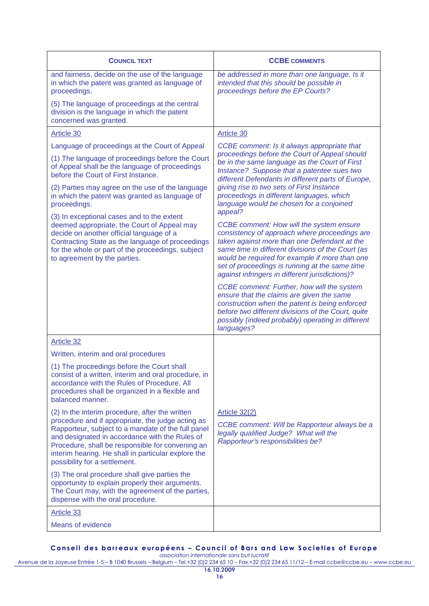| <b>COUNCIL TEXT</b>                                                                                                                                                                                                                                                                                                                                      | <b>CCBE COMMENTS</b>                                                                                                                                                                                                                                                                                                                                  |
|----------------------------------------------------------------------------------------------------------------------------------------------------------------------------------------------------------------------------------------------------------------------------------------------------------------------------------------------------------|-------------------------------------------------------------------------------------------------------------------------------------------------------------------------------------------------------------------------------------------------------------------------------------------------------------------------------------------------------|
| and fairness, decide on the use of the language<br>in which the patent was granted as language of<br>proceedings.                                                                                                                                                                                                                                        | be addressed in more than one language. Is it<br>intended that this should be possible in<br>proceedings before the EP Courts?                                                                                                                                                                                                                        |
| (5) The language of proceedings at the central<br>division is the language in which the patent<br>concerned was granted.                                                                                                                                                                                                                                 |                                                                                                                                                                                                                                                                                                                                                       |
| Article 30                                                                                                                                                                                                                                                                                                                                               | Article 30                                                                                                                                                                                                                                                                                                                                            |
| Language of proceedings at the Court of Appeal                                                                                                                                                                                                                                                                                                           | CCBE comment: Is it always appropriate that                                                                                                                                                                                                                                                                                                           |
| (1) The language of proceedings before the Court<br>of Appeal shall be the language of proceedings<br>before the Court of First Instance.                                                                                                                                                                                                                | proceedings before the Court of Appeal should<br>be in the same language as the Court of First<br>Instance? Suppose that a patentee sues two<br>different Defendants in different parts of Europe,                                                                                                                                                    |
| (2) Parties may agree on the use of the language<br>in which the patent was granted as language of<br>proceedings.                                                                                                                                                                                                                                       | giving rise to two sets of First Instance<br>proceedings in different languages, which<br>language would be chosen for a conjoined<br>appeal?                                                                                                                                                                                                         |
| (3) In exceptional cases and to the extent<br>deemed appropriate, the Court of Appeal may<br>decide on another official language of a<br>Contracting State as the language of proceedings<br>for the whole or part of the proceedings, subject<br>to agreement by the parties.                                                                           | CCBE comment: How will the system ensure<br>consistency of approach where proceedings are<br>taken against more than one Defendant at the<br>same time in different divisions of the Court (as<br>would be required for example if more than one<br>set of proceedings is running at the same time<br>against infringers in different jurisdictions)? |
|                                                                                                                                                                                                                                                                                                                                                          | CCBE comment: Further, how will the system<br>ensure that the claims are given the same<br>construction when the patent is being enforced<br>before two different divisions of the Court, quite<br>possibly (indeed probably) operating in different<br>languages?                                                                                    |
| Article 32                                                                                                                                                                                                                                                                                                                                               |                                                                                                                                                                                                                                                                                                                                                       |
| Written, interim and oral procedures                                                                                                                                                                                                                                                                                                                     |                                                                                                                                                                                                                                                                                                                                                       |
| (1) The proceedings before the Court shall<br>consist of a written, interim and oral procedure, in<br>accordance with the Rules of Procedure, All<br>procedures shall be organized in a flexible and<br>balanced manner.                                                                                                                                 |                                                                                                                                                                                                                                                                                                                                                       |
| (2) In the interim procedure, after the written<br>procedure and if appropriate, the judge acting as<br>Rapporteur, subject to a mandate of the full panel<br>and designated in accordance with the Rules of<br>Procedure, shall be responsible for convening an<br>interim hearing. He shall in particular explore the<br>possibility for a settlement. | Article 32(2)<br>CCBE comment: Will be Rapporteur always be a<br>legally qualified Judge? What will the<br>Rapporteur's responsibilities be?                                                                                                                                                                                                          |
| (3) The oral procedure shall give parties the<br>opportunity to explain properly their arguments.<br>The Court may, with the agreement of the parties,<br>dispense with the oral procedure.                                                                                                                                                              |                                                                                                                                                                                                                                                                                                                                                       |
| <b>Article 33</b>                                                                                                                                                                                                                                                                                                                                        |                                                                                                                                                                                                                                                                                                                                                       |
| <b>Means of evidence</b>                                                                                                                                                                                                                                                                                                                                 |                                                                                                                                                                                                                                                                                                                                                       |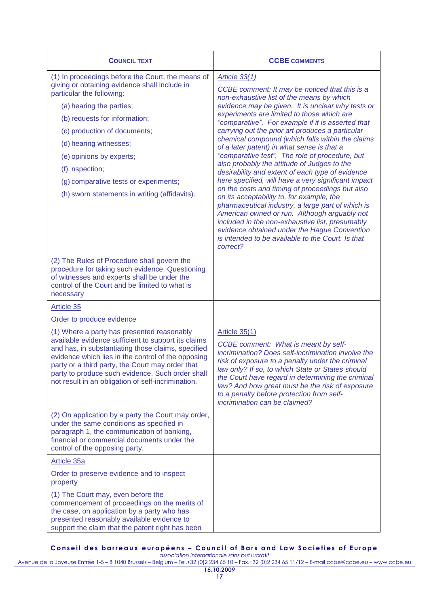| <b>COUNCIL TEXT</b>                                                                                                                                                                                                                                                                                                                                                                            | <b>CCBE COMMENTS</b>                                                                                                                                                                                                                                                                                                                                                                                                                                                                                                                                                                                                                                                                                                                                                                                                                                                                                                                                                                                                   |
|------------------------------------------------------------------------------------------------------------------------------------------------------------------------------------------------------------------------------------------------------------------------------------------------------------------------------------------------------------------------------------------------|------------------------------------------------------------------------------------------------------------------------------------------------------------------------------------------------------------------------------------------------------------------------------------------------------------------------------------------------------------------------------------------------------------------------------------------------------------------------------------------------------------------------------------------------------------------------------------------------------------------------------------------------------------------------------------------------------------------------------------------------------------------------------------------------------------------------------------------------------------------------------------------------------------------------------------------------------------------------------------------------------------------------|
| (1) In proceedings before the Court, the means of<br>giving or obtaining evidence shall include in<br>particular the following:<br>(a) hearing the parties;<br>(b) requests for information;<br>(c) production of documents;<br>(d) hearing witnesses;<br>(e) opinions by experts;<br>(f) nspection;<br>(g) comparative tests or experiments;<br>(h) sworn statements in writing (affidavits). | <b>Article 33(1)</b><br>CCBE comment: It may be noticed that this is a<br>non-exhaustive list of the means by which<br>evidence may be given. It is unclear why tests or<br>experiments are limited to those which are<br>"comparative". For example if it is asserted that<br>carrying out the prior art produces a particular<br>chemical compound (which falls within the claims<br>of a later patent) in what sense is that a<br>"comparative test". The role of procedure, but<br>also probably the attitude of Judges to the<br>desirability and extent of each type of evidence<br>here specified, will have a very significant impact<br>on the costs and timing of proceedings but also<br>on its acceptability to, for example, the<br>pharmaceutical industry, a large part of which is<br>American owned or run. Although arguably not<br>included in the non-exhaustive list, presumably<br>evidence obtained under the Hague Convention<br>is intended to be available to the Court. Is that<br>correct? |
| (2) The Rules of Procedure shall govern the<br>procedure for taking such evidence. Questioning<br>of witnesses and experts shall be under the<br>control of the Court and be limited to what is<br>necessary                                                                                                                                                                                   |                                                                                                                                                                                                                                                                                                                                                                                                                                                                                                                                                                                                                                                                                                                                                                                                                                                                                                                                                                                                                        |
| Article 35                                                                                                                                                                                                                                                                                                                                                                                     |                                                                                                                                                                                                                                                                                                                                                                                                                                                                                                                                                                                                                                                                                                                                                                                                                                                                                                                                                                                                                        |
| Order to produce evidence                                                                                                                                                                                                                                                                                                                                                                      |                                                                                                                                                                                                                                                                                                                                                                                                                                                                                                                                                                                                                                                                                                                                                                                                                                                                                                                                                                                                                        |
| (1) Where a party has presented reasonably<br>available evidence sufficient to support its claims<br>and has, in substantiating those claims, specified<br>evidence which lies in the control of the opposing<br>party or a third party, the Court may order that<br>party to produce such evidence. Such order shall<br>not result in an obligation of self-incrimination.                    | Article $35(1)$<br>CCBE comment: What is meant by self-<br>incrimination? Does self-incrimination involve the<br>risk of exposure to a penalty under the criminal<br>law only? If so, to which State or States should<br>the Court have regard in determining the criminal<br>law? And how great must be the risk of exposure<br>to a penalty before protection from self-<br>incrimination can be claimed?                                                                                                                                                                                                                                                                                                                                                                                                                                                                                                                                                                                                            |
| (2) On application by a party the Court may order,<br>under the same conditions as specified in<br>paragraph 1, the communication of banking,<br>financial or commercial documents under the<br>control of the opposing party.                                                                                                                                                                 |                                                                                                                                                                                                                                                                                                                                                                                                                                                                                                                                                                                                                                                                                                                                                                                                                                                                                                                                                                                                                        |
| Article 35a                                                                                                                                                                                                                                                                                                                                                                                    |                                                                                                                                                                                                                                                                                                                                                                                                                                                                                                                                                                                                                                                                                                                                                                                                                                                                                                                                                                                                                        |
| Order to preserve evidence and to inspect<br>property                                                                                                                                                                                                                                                                                                                                          |                                                                                                                                                                                                                                                                                                                                                                                                                                                                                                                                                                                                                                                                                                                                                                                                                                                                                                                                                                                                                        |
| (1) The Court may, even before the<br>commencement of proceedings on the merits of<br>the case, on application by a party who has<br>presented reasonably available evidence to<br>support the claim that the patent right has been                                                                                                                                                            |                                                                                                                                                                                                                                                                                                                                                                                                                                                                                                                                                                                                                                                                                                                                                                                                                                                                                                                                                                                                                        |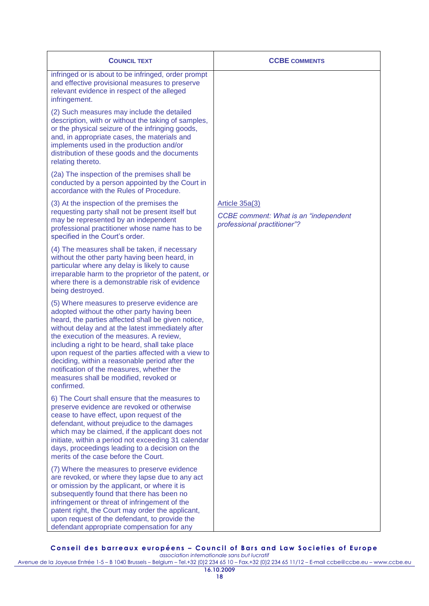| <b>COUNCIL TEXT</b>                                                                                                                                                                                                                                                                                                                                                                                                                                                                                                | <b>CCBE COMMENTS</b>                                                                          |
|--------------------------------------------------------------------------------------------------------------------------------------------------------------------------------------------------------------------------------------------------------------------------------------------------------------------------------------------------------------------------------------------------------------------------------------------------------------------------------------------------------------------|-----------------------------------------------------------------------------------------------|
| infringed or is about to be infringed, order prompt<br>and effective provisional measures to preserve<br>relevant evidence in respect of the alleged<br>infringement.                                                                                                                                                                                                                                                                                                                                              |                                                                                               |
| (2) Such measures may include the detailed<br>description, with or without the taking of samples,<br>or the physical seizure of the infringing goods,<br>and, in appropriate cases, the materials and<br>implements used in the production and/or<br>distribution of these goods and the documents<br>relating thereto.                                                                                                                                                                                            |                                                                                               |
| (2a) The inspection of the premises shall be<br>conducted by a person appointed by the Court in<br>accordance with the Rules of Procedure.                                                                                                                                                                                                                                                                                                                                                                         |                                                                                               |
| (3) At the inspection of the premises the<br>requesting party shall not be present itself but<br>may be represented by an independent<br>professional practitioner whose name has to be<br>specified in the Court's order.                                                                                                                                                                                                                                                                                         | Article 35a(3)<br><b>CCBE</b> comment: What is an "independent<br>professional practitioner"? |
| (4) The measures shall be taken, if necessary<br>without the other party having been heard, in<br>particular where any delay is likely to cause<br>irreparable harm to the proprietor of the patent, or<br>where there is a demonstrable risk of evidence<br>being destroyed.                                                                                                                                                                                                                                      |                                                                                               |
| (5) Where measures to preserve evidence are<br>adopted without the other party having been<br>heard, the parties affected shall be given notice,<br>without delay and at the latest immediately after<br>the execution of the measures. A review,<br>including a right to be heard, shall take place<br>upon request of the parties affected with a view to<br>deciding, within a reasonable period after the<br>notification of the measures, whether the<br>measures shall be modified, revoked or<br>confirmed. |                                                                                               |
| 6) The Court shall ensure that the measures to<br>preserve evidence are revoked or otherwise<br>cease to have effect, upon request of the<br>defendant, without prejudice to the damages<br>which may be claimed, if the applicant does not<br>initiate, within a period not exceeding 31 calendar<br>days, proceedings leading to a decision on the<br>merits of the case before the Court.                                                                                                                       |                                                                                               |
| (7) Where the measures to preserve evidence<br>are revoked, or where they lapse due to any act<br>or omission by the applicant, or where it is<br>subsequently found that there has been no<br>infringement or threat of infringement of the<br>patent right, the Court may order the applicant,<br>upon request of the defendant, to provide the<br>defendant appropriate compensation for any                                                                                                                    |                                                                                               |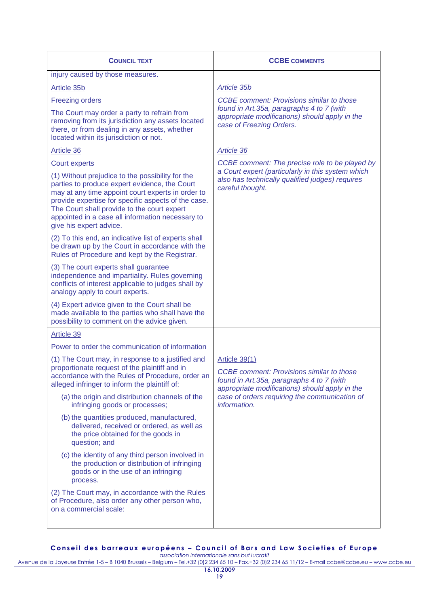| <b>COUNCIL TEXT</b>                                                                                                                                                                                                                                                                                                                         | <b>CCBE COMMENTS</b>                                                                                                                                                                                                       |
|---------------------------------------------------------------------------------------------------------------------------------------------------------------------------------------------------------------------------------------------------------------------------------------------------------------------------------------------|----------------------------------------------------------------------------------------------------------------------------------------------------------------------------------------------------------------------------|
| injury caused by those measures.                                                                                                                                                                                                                                                                                                            |                                                                                                                                                                                                                            |
| Article 35b                                                                                                                                                                                                                                                                                                                                 | <b>Article 35b</b>                                                                                                                                                                                                         |
| <b>Freezing orders</b><br>The Court may order a party to refrain from<br>removing from its jurisdiction any assets located<br>there, or from dealing in any assets, whether<br>located within its jurisdiction or not.                                                                                                                      | <b>CCBE</b> comment: Provisions similar to those<br>found in Art.35a, paragraphs 4 to 7 (with<br>appropriate modifications) should apply in the<br>case of Freezing Orders.                                                |
| Article 36                                                                                                                                                                                                                                                                                                                                  | Article 36                                                                                                                                                                                                                 |
| <b>Court experts</b>                                                                                                                                                                                                                                                                                                                        | CCBE comment: The precise role to be played by                                                                                                                                                                             |
| (1) Without prejudice to the possibility for the<br>parties to produce expert evidence, the Court<br>may at any time appoint court experts in order to<br>provide expertise for specific aspects of the case.<br>The Court shall provide to the court expert<br>appointed in a case all information necessary to<br>give his expert advice. | a Court expert (particularly in this system which<br>also has technically qualified judges) requires<br>careful thought.                                                                                                   |
| (2) To this end, an indicative list of experts shall<br>be drawn up by the Court in accordance with the<br>Rules of Procedure and kept by the Registrar.                                                                                                                                                                                    |                                                                                                                                                                                                                            |
| (3) The court experts shall guarantee<br>independence and impartiality. Rules governing<br>conflicts of interest applicable to judges shall by<br>analogy apply to court experts.                                                                                                                                                           |                                                                                                                                                                                                                            |
| (4) Expert advice given to the Court shall be<br>made available to the parties who shall have the<br>possibility to comment on the advice given.                                                                                                                                                                                            |                                                                                                                                                                                                                            |
| Article 39                                                                                                                                                                                                                                                                                                                                  |                                                                                                                                                                                                                            |
| Power to order the communication of information                                                                                                                                                                                                                                                                                             |                                                                                                                                                                                                                            |
| (1) The Court may, in response to a justified and<br>proportionate request of the plaintiff and in<br>accordance with the Rules of Procedure, order an<br>alleged infringer to inform the plaintiff of:                                                                                                                                     | Article 39(1)<br>CCBE comment: Provisions similar to those<br>found in Art.35a, paragraphs 4 to 7 (with<br>appropriate modifications) should apply in the<br>case of orders requiring the communication of<br>information. |
| (a) the origin and distribution channels of the<br>infringing goods or processes;                                                                                                                                                                                                                                                           |                                                                                                                                                                                                                            |
| (b) the quantities produced, manufactured,<br>delivered, received or ordered, as well as<br>the price obtained for the goods in<br>question; and                                                                                                                                                                                            |                                                                                                                                                                                                                            |
| (c) the identity of any third person involved in<br>the production or distribution of infringing<br>goods or in the use of an infringing<br>process.                                                                                                                                                                                        |                                                                                                                                                                                                                            |
| (2) The Court may, in accordance with the Rules<br>of Procedure, also order any other person who,<br>on a commercial scale:                                                                                                                                                                                                                 |                                                                                                                                                                                                                            |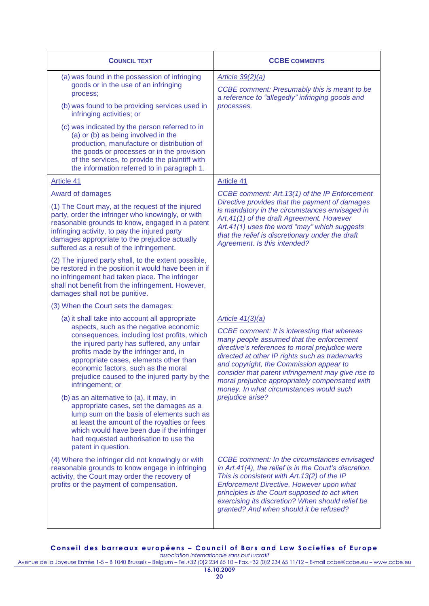| <b>COUNCIL TEXT</b>                                                                                                                                                                                                                                                                                                                                                                                                                                                    | <b>CCBE COMMENTS</b>                                                                                                                                                                                                                                                                                                                                                                                                    |
|------------------------------------------------------------------------------------------------------------------------------------------------------------------------------------------------------------------------------------------------------------------------------------------------------------------------------------------------------------------------------------------------------------------------------------------------------------------------|-------------------------------------------------------------------------------------------------------------------------------------------------------------------------------------------------------------------------------------------------------------------------------------------------------------------------------------------------------------------------------------------------------------------------|
| (a) was found in the possession of infringing<br>goods or in the use of an infringing<br>process;<br>(b) was found to be providing services used in<br>infringing activities; or<br>(c) was indicated by the person referred to in<br>(a) or (b) as being involved in the<br>production, manufacture or distribution of<br>the goods or processes or in the provision<br>of the services, to provide the plaintiff with<br>the information referred to in paragraph 1. | <b>Article 39(2)(a)</b><br><b>CCBE</b> comment: Presumably this is meant to be<br>a reference to "allegedly" infringing goods and<br>processes.                                                                                                                                                                                                                                                                         |
| Article 41                                                                                                                                                                                                                                                                                                                                                                                                                                                             | Article 41                                                                                                                                                                                                                                                                                                                                                                                                              |
| Award of damages<br>(1) The Court may, at the request of the injured<br>party, order the infringer who knowingly, or with<br>reasonable grounds to know, engaged in a patent<br>infringing activity, to pay the injured party<br>damages appropriate to the prejudice actually<br>suffered as a result of the infringement.                                                                                                                                            | CCBE comment: Art. 13(1) of the IP Enforcement<br>Directive provides that the payment of damages<br>is mandatory in the circumstances envisaged in<br>Art.41(1) of the draft Agreement. However<br>Art.41(1) uses the word "may" which suggests<br>that the relief is discretionary under the draft<br>Agreement. Is this intended?                                                                                     |
| (2) The injured party shall, to the extent possible,<br>be restored in the position it would have been in if<br>no infringement had taken place. The infringer<br>shall not benefit from the infringement. However,<br>damages shall not be punitive.                                                                                                                                                                                                                  |                                                                                                                                                                                                                                                                                                                                                                                                                         |
| (3) When the Court sets the damages:                                                                                                                                                                                                                                                                                                                                                                                                                                   |                                                                                                                                                                                                                                                                                                                                                                                                                         |
| (a) it shall take into account all appropriate<br>aspects, such as the negative economic<br>consequences, including lost profits, which<br>the injured party has suffered, any unfair<br>profits made by the infringer and, in<br>appropriate cases, elements other than<br>economic factors, such as the moral<br>prejudice caused to the injured party by the<br>infringement; or                                                                                    | Article $41(3)(a)$<br><b>CCBE</b> comment: It is interesting that whereas<br>many people assumed that the enforcement<br>directive's references to moral prejudice were<br>directed at other IP rights such as trademarks<br>and copyright, the Commission appear to<br>consider that patent infringement may give rise to<br>moral prejudice appropriately compensated with<br>money. In what circumstances would such |
| (b) as an alternative to (a), it may, in<br>appropriate cases, set the damages as a<br>lump sum on the basis of elements such as<br>at least the amount of the royalties or fees<br>which would have been due if the infringer<br>had requested authorisation to use the<br>patent in question.                                                                                                                                                                        | prejudice arise?                                                                                                                                                                                                                                                                                                                                                                                                        |
| (4) Where the infringer did not knowingly or with<br>reasonable grounds to know engage in infringing<br>activity, the Court may order the recovery of<br>profits or the payment of compensation.                                                                                                                                                                                                                                                                       | <b>CCBE</b> comment: In the circumstances envisaged<br>in Art.41(4), the relief is in the Court's discretion.<br>This is consistent with Art. 13(2) of the IP<br>Enforcement Directive. However upon what<br>principles is the Court supposed to act when<br>exercising its discretion? When should relief be<br>granted? And when should it be refused?                                                                |